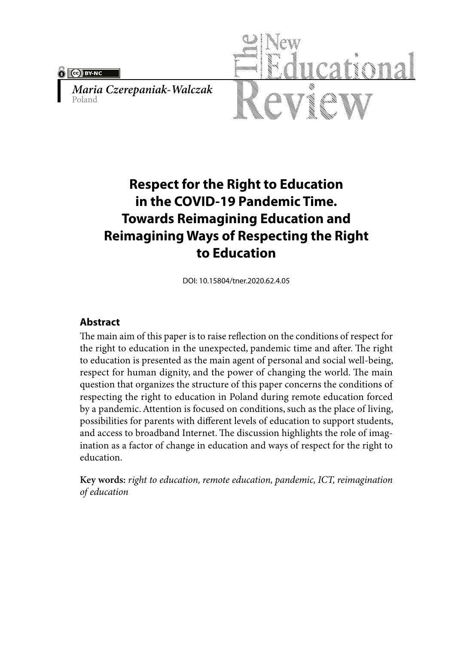$\sqrt{(\text{c}})$  BY-NC

*Maria Czerepaniak-Walczak* Poland



# **Respect for the Right to Education in the COVID-19 Pandemic Time. Towards Reimagining Education and Reimagining Ways of Respecting the Right to Education**

DOI: 10.15804/tner.2020.62.4.05

### **Abstract**

The main aim of this paper is to raise reflection on the conditions of respect for the right to education in the unexpected, pandemic time and after. The right to education is presented as the main agent of personal and social well-being, respect for human dignity, and the power of changing the world. The main question that organizes the structure of this paper concerns the conditions of respecting the right to education in Poland during remote education forced by a pandemic. Attention is focused on conditions, such as the place of living, possibilities for parents with different levels of education to support students, and access to broadband Internet. The discussion highlights the role of imagination as a factor of change in education and ways of respect for the right to education.

**Key words:** *right to education, remote education, pandemic, ICT, reimagination of education*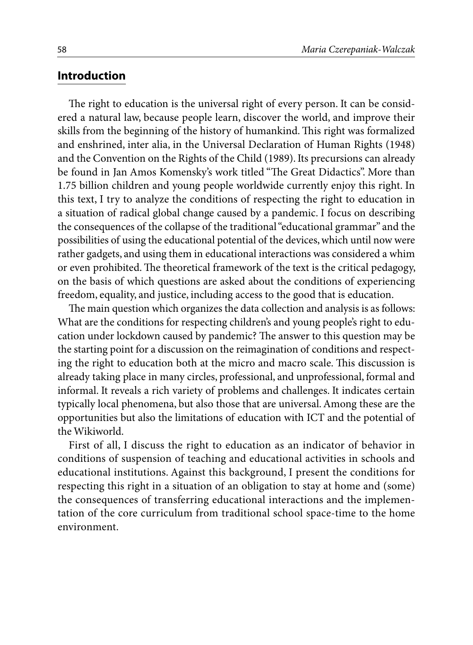#### **Introduction**

The right to education is the universal right of every person. It can be considered a natural law, because people learn, discover the world, and improve their skills from the beginning of the history of humankind. This right was formalized and enshrined, inter alia, in the Universal Declaration of Human Rights (1948) and the Convention on the Rights of the Child (1989). Its precursions can already be found in Jan Amos Komensky's work titled "The Great Didactics". More than 1.75 billion children and young people worldwide currently enjoy this right. In this text, I try to analyze the conditions of respecting the right to education in a situation of radical global change caused by a pandemic. I focus on describing the consequences of the collapse of the traditional "educational grammar" and the possibilities of using the educational potential of the devices, which until now were rather gadgets, and using them in educational interactions was considered a whim or even prohibited. The theoretical framework of the text is the critical pedagogy, on the basis of which questions are asked about the conditions of experiencing freedom, equality, and justice, including access to the good that is education.

The main question which organizes the data collection and analysis is as follows: What are the conditions for respecting children's and young people's right to education under lockdown caused by pandemic? The answer to this question may be the starting point for a discussion on the reimagination of conditions and respecting the right to education both at the micro and macro scale. This discussion is already taking place in many circles, professional, and unprofessional, formal and informal. It reveals a rich variety of problems and challenges. It indicates certain typically local phenomena, but also those that are universal. Among these are the opportunities but also the limitations of education with ICT and the potential of the Wikiworld.

First of all, I discuss the right to education as an indicator of behavior in conditions of suspension of teaching and educational activities in schools and educational institutions. Against this background, I present the conditions for respecting this right in a situation of an obligation to stay at home and (some) the consequences of transferring educational interactions and the implementation of the core curriculum from traditional school space-time to the home environment.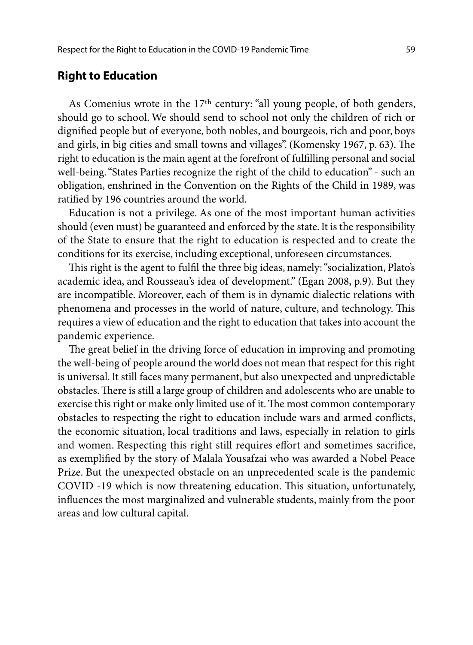### **Right to Education**

As Comenius wrote in the 17th century: "all young people, of both genders, should go to school. We should send to school not only the children of rich or dignified people but of everyone, both nobles, and bourgeois, rich and poor, boys and girls, in big cities and small towns and villages". (Komensky 1967, p. 63). The right to education is the main agent at the forefront of fulfilling personal and social well-being. "States Parties recognize the right of the child to education" - such an obligation, enshrined in the Convention on the Rights of the Child in 1989, was ratified by 196 countries around the world.

Education is not a privilege. As one of the most important human activities should (even must) be guaranteed and enforced by the state. It is the responsibility of the State to ensure that the right to education is respected and to create the conditions for its exercise, including exceptional, unforeseen circumstances.

This right is the agent to fulfil the three big ideas, namely: "socialization, Plato's academic idea, and Rousseau's idea of development." (Egan 2008, p.9). But they are incompatible. Moreover, each of them is in dynamic dialectic relations with phenomena and processes in the world of nature, culture, and technology. This requires a view of education and the right to education that takes into account the pandemic experience.

The great belief in the driving force of education in improving and promoting the well-being of people around the world does not mean that respect for this right is universal. It still faces many permanent, but also unexpected and unpredictable obstacles. There is still a large group of children and adolescents who are unable to exercise this right or make only limited use of it. The most common contemporary obstacles to respecting the right to education include wars and armed conflicts, the economic situation, local traditions and laws, especially in relation to girls and women. Respecting this right still requires effort and sometimes sacrifice, as exemplified by the story of Malala Yousafzai who was awarded a Nobel Peace Prize. But the unexpected obstacle on an unprecedented scale is the pandemic COVID -19 which is now threatening education. This situation, unfortunately, influences the most marginalized and vulnerable students, mainly from the poor areas and low cultural capital.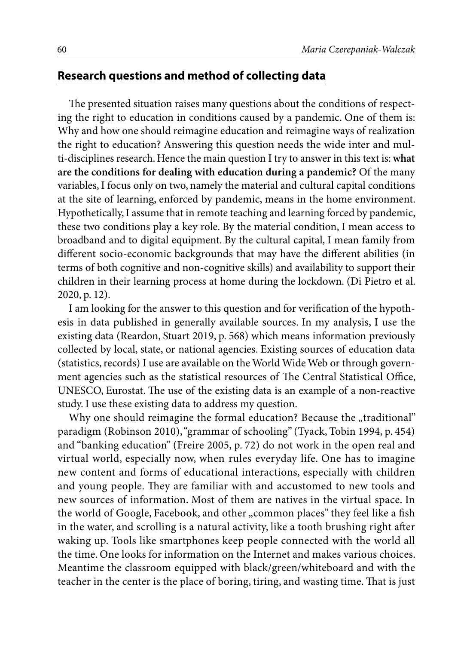### **Research questions and method of collecting data**

The presented situation raises many questions about the conditions of respecting the right to education in conditions caused by a pandemic. One of them is: Why and how one should reimagine education and reimagine ways of realization the right to education? Answering this question needs the wide inter and multi-disciplines research. Hence the main question I try to answer in this text is: **what are the conditions for dealing with education during a pandemic?** Of the many variables, I focus only on two, namely the material and cultural capital conditions at the site of learning, enforced by pandemic, means in the home environment. Hypothetically, I assume that in remote teaching and learning forced by pandemic, these two conditions play a key role. By the material condition, I mean access to broadband and to digital equipment. By the cultural capital, I mean family from different socio-economic backgrounds that may have the different abilities (in terms of both cognitive and non-cognitive skills) and availability to support their children in their learning process at home during the lockdown. (Di Pietro et al. 2020, p. 12).

I am looking for the answer to this question and for verification of the hypothesis in data published in generally available sources. In my analysis, I use the existing data (Reardon, Stuart 2019, p. 568) which means information previously collected by local, state, or national agencies. Existing sources of education data (statistics, records) I use are available on the World Wide Web or through government agencies such as the statistical resources of The Central Statistical Office, UNESCO, Eurostat. The use of the existing data is an example of a non-reactive study. I use these existing data to address my question.

Why one should reimagine the formal education? Because the "traditional" paradigm (Robinson 2010), "grammar of schooling" (Tyack, Tobin 1994, p. 454) and "banking education" (Freire 2005, p. 72) do not work in the open real and virtual world, especially now, when rules everyday life. One has to imagine new content and forms of educational interactions, especially with children and young people. They are familiar with and accustomed to new tools and new sources of information. Most of them are natives in the virtual space. In the world of Google, Facebook, and other "common places" they feel like a fish in the water, and scrolling is a natural activity, like a tooth brushing right after waking up. Tools like smartphones keep people connected with the world all the time. One looks for information on the Internet and makes various choices. Meantime the classroom equipped with black/green/whiteboard and with the teacher in the center is the place of boring, tiring, and wasting time. That is just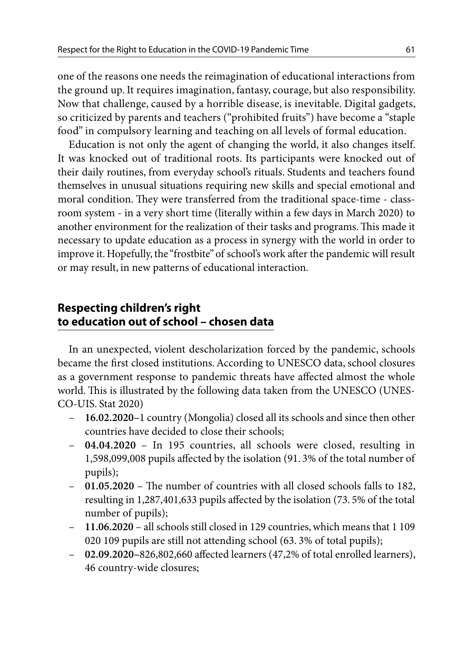one of the reasons one needs the reimagination of educational interactions from the ground up. It requires imagination, fantasy, courage, but also responsibility. Now that challenge, caused by a horrible disease, is inevitable. Digital gadgets, so criticized by parents and teachers ("prohibited fruits") have become a "staple food" in compulsory learning and teaching on all levels of formal education.

Education is not only the agent of changing the world, it also changes itself. It was knocked out of traditional roots. Its participants were knocked out of their daily routines, from everyday school's rituals. Students and teachers found themselves in unusual situations requiring new skills and special emotional and moral condition. They were transferred from the traditional space-time - classroom system - in a very short time (literally within a few days in March 2020) to another environment for the realization of their tasks and programs. This made it necessary to update education as a process in synergy with the world in order to improve it. Hopefully, the "frostbite" of school's work after the pandemic will result or may result, in new patterns of educational interaction.

## **Respecting children's right to education out of school – chosen data**

In an unexpected, violent descholarization forced by the pandemic, schools became the first closed institutions. According to UNESCO data, school closures as a government response to pandemic threats have affected almost the whole world. This is illustrated by the following data taken from the UNESCO (UNES-CO-UIS. Stat 2020)

- **16.02.2020–**1 country (Mongolia) closed all its schools and since then other countries have decided to close their schools;
- **04.04.2020** In 195 countries, all schools were closed, resulting in 1,598,099,008 pupils affected by the isolation (91. 3% of the total number of pupils);
- **01.05.2020**  The number of countries with all closed schools falls to 182, resulting in 1,287,401,633 pupils affected by the isolation (73. 5% of the total number of pupils);
- **11.06.2020** all schools still closed in 129 countries, which means that 1 109 020 109 pupils are still not attending school (63. 3% of total pupils);
- **02.09.2020–**826,802,660 affected learners (47,2% of total enrolled learners), 46 country-wide closures;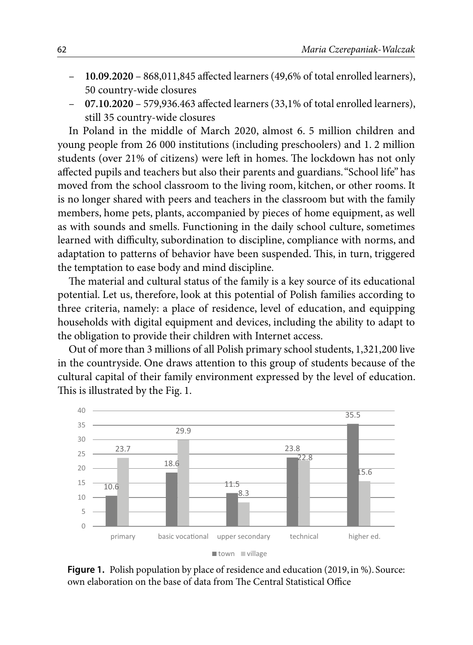- **10.09.2020**  868,011,845 affected learners (49,6% of total enrolled learners), 50 country-wide closures
- **07.10.2020**  579,936.463 affected learners (33,1% of total enrolled learners), still 35 country-wide closures

In Poland in the middle of March 2020, almost 6. 5 million children and young people from 26 000 institutions (including preschoolers) and 1. 2 million students (over 21% of citizens) were left in homes. The lockdown has not only affected pupils and teachers but also their parents and guardians. "School life" has moved from the school classroom to the living room, kitchen, or other rooms. It is no longer shared with peers and teachers in the classroom but with the family members, home pets, plants, accompanied by pieces of home equipment, as well as with sounds and smells. Functioning in the daily school culture, sometimes learned with difficulty, subordination to discipline, compliance with norms, and adaptation to patterns of behavior have been suspended. This, in turn, triggered the temptation to ease body and mind discipline.

The material and cultural status of the family is a key source of its educational potential. Let us, therefore, look at this potential of Polish families according to three criteria, namely: a place of residence, level of education, and equipping households with digital equipment and devices, including the ability to adapt to the obligation to provide their children with Internet access.

Out of more than 3 millions of all Polish primary school students, 1,321,200 live in the countryside. One draws attention to this group of students because of the cultural capital of their family environment expressed by the level of education. This is illustrated by the Fig. 1.



Figure 1. Polish population by place of residence and education (2019, in %). Source: own elaboration on the base of data from The Central Statistical Office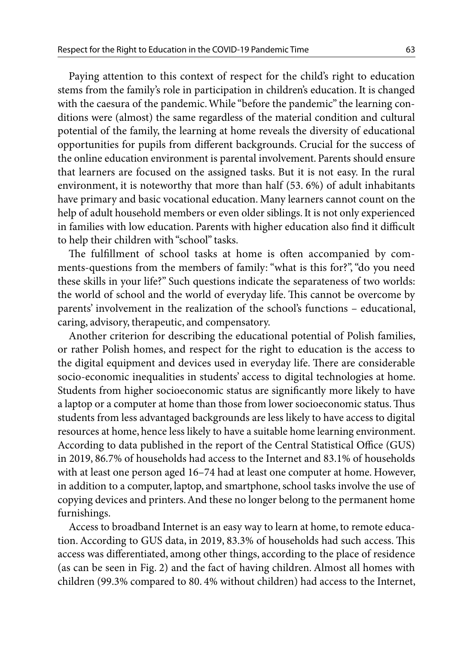Paying attention to this context of respect for the child's right to education stems from the family's role in participation in children's education. It is changed with the caesura of the pandemic. While "before the pandemic" the learning conditions were (almost) the same regardless of the material condition and cultural potential of the family, the learning at home reveals the diversity of educational opportunities for pupils from different backgrounds. Crucial for the success of the online education environment is parental involvement. Parents should ensure that learners are focused on the assigned tasks. But it is not easy. In the rural environment, it is noteworthy that more than half (53. 6%) of adult inhabitants have primary and basic vocational education. Many learners cannot count on the help of adult household members or even older siblings. It is not only experienced in families with low education. Parents with higher education also find it difficult to help their children with "school" tasks.

The fulfillment of school tasks at home is often accompanied by comments-questions from the members of family: "what is this for?", "do you need these skills in your life?" Such questions indicate the separateness of two worlds: the world of school and the world of everyday life. This cannot be overcome by parents' involvement in the realization of the school's functions – educational, caring, advisory, therapeutic, and compensatory.

Another criterion for describing the educational potential of Polish families, or rather Polish homes, and respect for the right to education is the access to the digital equipment and devices used in everyday life. There are considerable socio-economic inequalities in students' access to digital technologies at home. Students from higher socioeconomic status are significantly more likely to have a laptop or a computer at home than those from lower socioeconomic status. Thus students from less advantaged backgrounds are less likely to have access to digital resources at home, hence less likely to have a suitable home learning environment. According to data published in the report of the Central Statistical Office (GUS) in 2019, 86.7% of households had access to the Internet and 83.1% of households with at least one person aged 16–74 had at least one computer at home. However, in addition to a computer, laptop, and smartphone, school tasks involve the use of copying devices and printers. And these no longer belong to the permanent home furnishings.

Access to broadband Internet is an easy way to learn at home, to remote education. According to GUS data, in 2019, 83.3% of households had such access. This access was differentiated, among other things, according to the place of residence (as can be seen in Fig. 2) and the fact of having children. Almost all homes with children (99.3% compared to 80. 4% without children) had access to the Internet,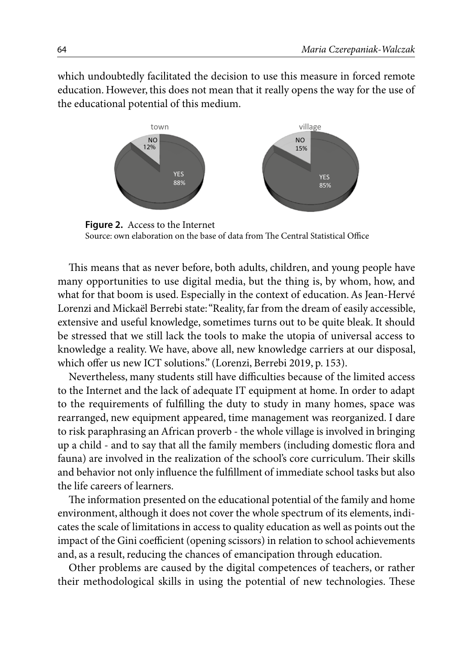which undoubtedly facilitated the decision to use this measure in forced remote education. However, this does not mean that it really opens the way for the use of the educational potential of this medium.



**Figure 2.** Access to the Internet Source: own elaboration on the base of data from The Central Statistical Office

This means that as never before, both adults, children, and young people have many opportunities to use digital media, but the thing is, by whom, how, and what for that boom is used. Especially in the context of education. As Jean-Hervé Lorenzi and Mickaël Berrebi state: "Reality, far from the dream of easily accessible, extensive and useful knowledge, sometimes turns out to be quite bleak. It should be stressed that we still lack the tools to make the utopia of universal access to knowledge a reality. We have, above all, new knowledge carriers at our disposal, which offer us new ICT solutions." (Lorenzi, Berrebi 2019, p. 153).

Nevertheless, many students still have difficulties because of the limited access to the Internet and the lack of adequate IT equipment at home. In order to adapt to the requirements of fulfilling the duty to study in many homes, space was rearranged, new equipment appeared, time management was reorganized. I dare to risk paraphrasing an African proverb - the whole village is involved in bringing up a child - and to say that all the family members (including domestic flora and fauna) are involved in the realization of the school's core curriculum. Their skills and behavior not only influence the fulfillment of immediate school tasks but also the life careers of learners.

The information presented on the educational potential of the family and home environment, although it does not cover the whole spectrum of its elements, indicates the scale of limitations in access to quality education as well as points out the impact of the Gini coefficient (opening scissors) in relation to school achievements and, as a result, reducing the chances of emancipation through education.

Other problems are caused by the digital competences of teachers, or rather their methodological skills in using the potential of new technologies. These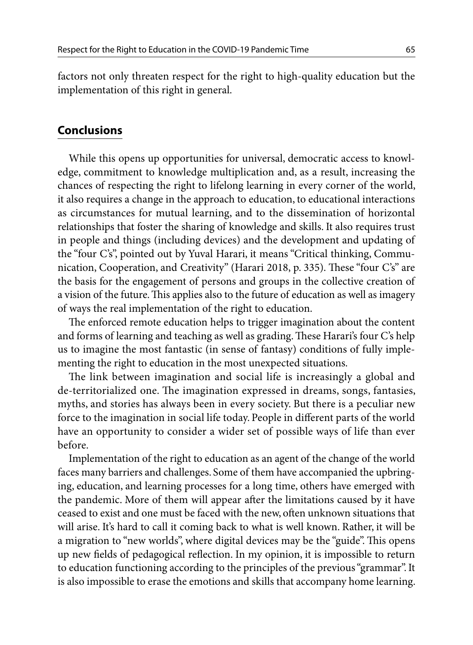factors not only threaten respect for the right to high-quality education but the implementation of this right in general.

### **Conclusions**

While this opens up opportunities for universal, democratic access to knowledge, commitment to knowledge multiplication and, as a result, increasing the chances of respecting the right to lifelong learning in every corner of the world, it also requires a change in the approach to education, to educational interactions as circumstances for mutual learning, and to the dissemination of horizontal relationships that foster the sharing of knowledge and skills. It also requires trust in people and things (including devices) and the development and updating of the "four C's", pointed out by Yuval Harari, it means "Critical thinking, Communication, Cooperation, and Creativity" (Harari 2018, p. 335). These "four C's" are the basis for the engagement of persons and groups in the collective creation of a vision of the future. This applies also to the future of education as well as imagery of ways the real implementation of the right to education.

The enforced remote education helps to trigger imagination about the content and forms of learning and teaching as well as grading. These Harari's four C's help us to imagine the most fantastic (in sense of fantasy) conditions of fully implementing the right to education in the most unexpected situations.

The link between imagination and social life is increasingly a global and de-territorialized one. The imagination expressed in dreams, songs, fantasies, myths, and stories has always been in every society. But there is a peculiar new force to the imagination in social life today. People in different parts of the world have an opportunity to consider a wider set of possible ways of life than ever before.

Implementation of the right to education as an agent of the change of the world faces many barriers and challenges. Some of them have accompanied the upbringing, education, and learning processes for a long time, others have emerged with the pandemic. More of them will appear after the limitations caused by it have ceased to exist and one must be faced with the new, often unknown situations that will arise. It's hard to call it coming back to what is well known. Rather, it will be a migration to "new worlds", where digital devices may be the "guide". This opens up new fields of pedagogical reflection. In my opinion, it is impossible to return to education functioning according to the principles of the previous "grammar". It is also impossible to erase the emotions and skills that accompany home learning.